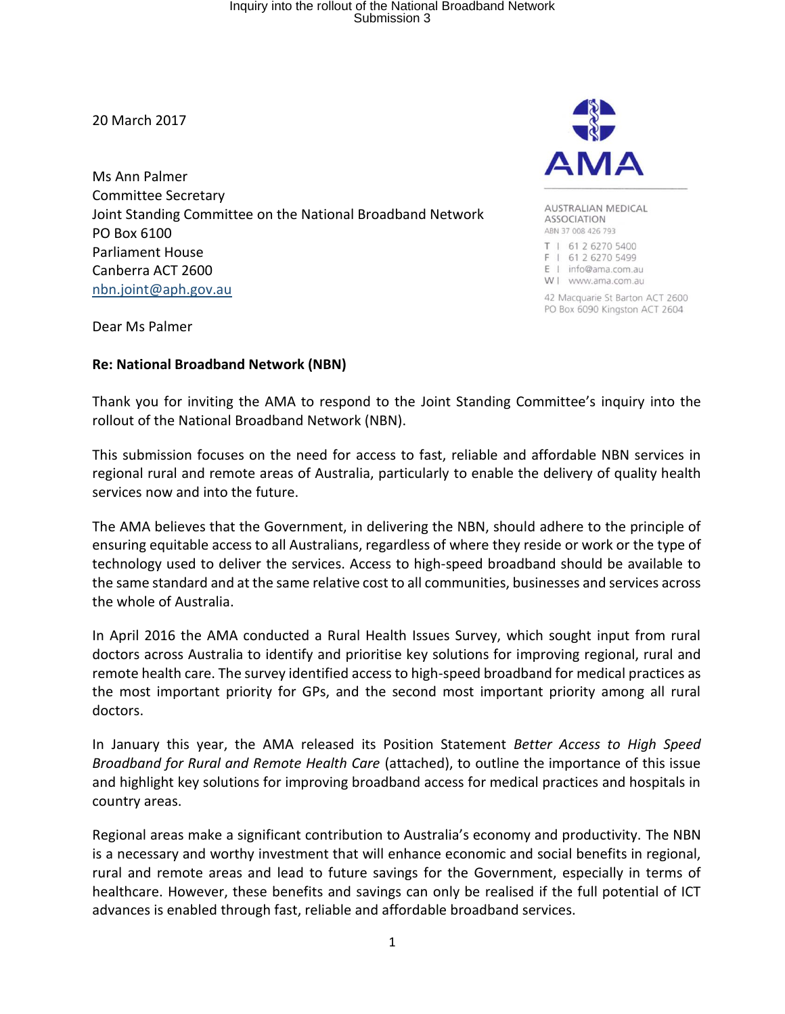20 March 2017

Ms Ann Palmer Committee Secretary Joint Standing Committee on the National Broadband Network PO Box 6100 Parliament House Canberra ACT 2600 [nbn.joint@aph.gov.au](mailto:nbn.joint@aph.gov.au)



**AUSTRALIAN MEDICAL ASSOCIATION** ABN 37 008 426 793 T | 61 2 6270 5400 F | 61 2 6270 5499 E | info@ama.com.au W I www.ama.com.au

42 Macquarie St Barton ACT 2600 PO Box 6090 Kingston ACT 2604

Dear Ms Palmer

### **Re: National Broadband Network (NBN)**

Thank you for inviting the AMA to respond to the Joint Standing Committee's inquiry into the rollout of the National Broadband Network (NBN).

This submission focuses on the need for access to fast, reliable and affordable NBN services in regional rural and remote areas of Australia, particularly to enable the delivery of quality health services now and into the future.

The AMA believes that the Government, in delivering the NBN, should adhere to the principle of ensuring equitable access to all Australians, regardless of where they reside or work or the type of technology used to deliver the services. Access to high-speed broadband should be available to the same standard and at the same relative cost to all communities, businesses and services across the whole of Australia.

In April 2016 the AMA conducted a Rural Health Issues Survey, which sought input from rural doctors across Australia to identify and prioritise key solutions for improving regional, rural and remote health care. The survey identified access to high-speed broadband for medical practices as the most important priority for GPs, and the second most important priority among all rural doctors.

In January this year, the AMA released its Position Statement *Better Access to High Speed Broadband for Rural and Remote Health Care* (attached), to outline the importance of this issue and highlight key solutions for improving broadband access for medical practices and hospitals in country areas.

Regional areas make a significant contribution to Australia's economy and productivity. The NBN is a necessary and worthy investment that will enhance economic and social benefits in regional, rural and remote areas and lead to future savings for the Government, especially in terms of healthcare. However, these benefits and savings can only be realised if the full potential of ICT advances is enabled through fast, reliable and affordable broadband services.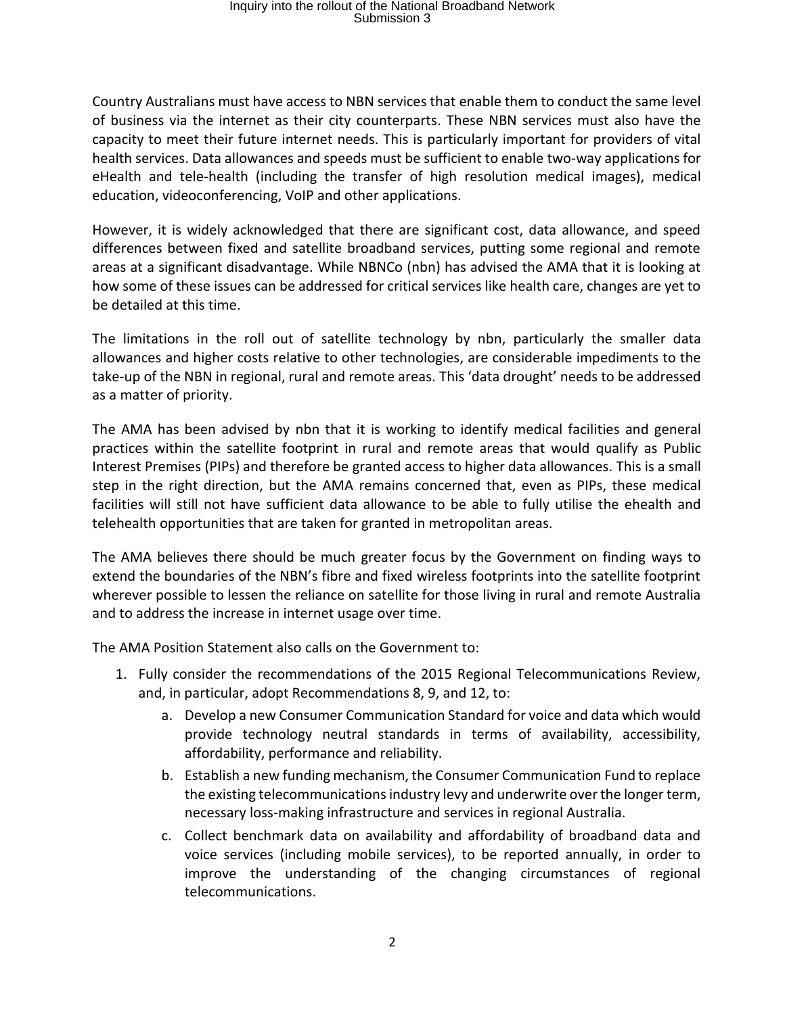Country Australians must have access to NBN services that enable them to conduct the same level of business via the internet as their city counterparts. These NBN services must also have the capacity to meet their future internet needs. This is particularly important for providers of vital health services. Data allowances and speeds must be sufficient to enable two-way applications for eHealth and tele-health (including the transfer of high resolution medical images), medical education, videoconferencing, VoIP and other applications.

However, it is widely acknowledged that there are significant cost, data allowance, and speed differences between fixed and satellite broadband services, putting some regional and remote areas at a significant disadvantage. While NBNCo (nbn) has advised the AMA that it is looking at how some of these issues can be addressed for critical services like health care, changes are yet to be detailed at this time.

The limitations in the roll out of satellite technology by nbn, particularly the smaller data allowances and higher costs relative to other technologies, are considerable impediments to the take-up of the NBN in regional, rural and remote areas. This 'data drought' needs to be addressed as a matter of priority.

The AMA has been advised by nbn that it is working to identify medical facilities and general practices within the satellite footprint in rural and remote areas that would qualify as Public Interest Premises (PIPs) and therefore be granted access to higher data allowances. This is a small step in the right direction, but the AMA remains concerned that, even as PIPs, these medical facilities will still not have sufficient data allowance to be able to fully utilise the ehealth and telehealth opportunities that are taken for granted in metropolitan areas.

The AMA believes there should be much greater focus by the Government on finding ways to extend the boundaries of the NBN's fibre and fixed wireless footprints into the satellite footprint wherever possible to lessen the reliance on satellite for those living in rural and remote Australia and to address the increase in internet usage over time.

The AMA Position Statement also calls on the Government to:

- 1. Fully consider the recommendations of the 2015 Regional Telecommunications Review, and, in particular, adopt Recommendations 8, 9, and 12, to:
	- a. Develop a new Consumer Communication Standard for voice and data which would provide technology neutral standards in terms of availability, accessibility, affordability, performance and reliability.
	- b. Establish a new funding mechanism, the Consumer Communication Fund to replace the existing telecommunications industry levy and underwrite over the longer term, necessary loss-making infrastructure and services in regional Australia.
	- c. Collect benchmark data on availability and affordability of broadband data and voice services (including mobile services), to be reported annually, in order to improve the understanding of the changing circumstances of regional telecommunications.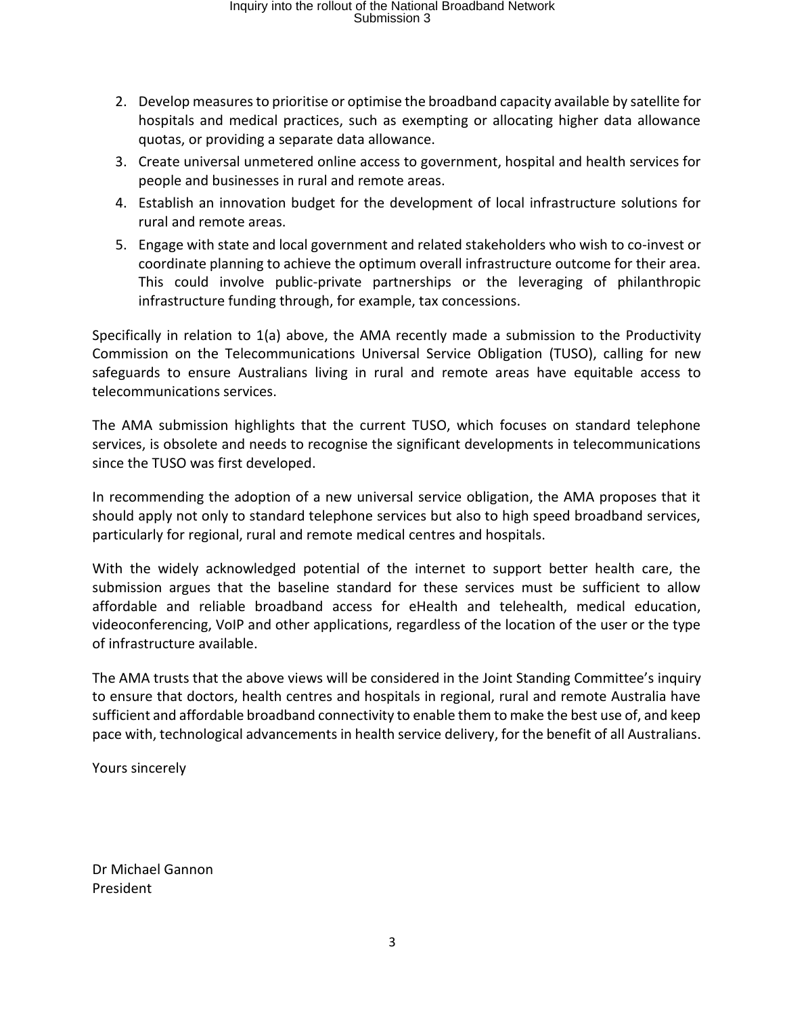- 2. Develop measures to prioritise or optimise the broadband capacity available by satellite for hospitals and medical practices, such as exempting or allocating higher data allowance quotas, or providing a separate data allowance.
- 3. Create universal unmetered online access to government, hospital and health services for people and businesses in rural and remote areas.
- 4. Establish an innovation budget for the development of local infrastructure solutions for rural and remote areas.
- 5. Engage with state and local government and related stakeholders who wish to co-invest or coordinate planning to achieve the optimum overall infrastructure outcome for their area. This could involve public-private partnerships or the leveraging of philanthropic infrastructure funding through, for example, tax concessions.

Specifically in relation to 1(a) above, the AMA recently made a submission to the Productivity Commission on the Telecommunications Universal Service Obligation (TUSO), calling for new safeguards to ensure Australians living in rural and remote areas have equitable access to telecommunications services.

The AMA submission highlights that the current TUSO, which focuses on standard telephone services, is obsolete and needs to recognise the significant developments in telecommunications since the TUSO was first developed.

In recommending the adoption of a new universal service obligation, the AMA proposes that it should apply not only to standard telephone services but also to high speed broadband services, particularly for regional, rural and remote medical centres and hospitals.

With the widely acknowledged potential of the internet to support better health care, the submission argues that the baseline standard for these services must be sufficient to allow affordable and reliable broadband access for eHealth and telehealth, medical education, videoconferencing, VoIP and other applications, regardless of the location of the user or the type of infrastructure available.

The AMA trusts that the above views will be considered in the Joint Standing Committee's inquiry to ensure that doctors, health centres and hospitals in regional, rural and remote Australia have sufficient and affordable broadband connectivity to enable them to make the best use of, and keep pace with, technological advancements in health service delivery, for the benefit of all Australians.

Yours sincerely

Dr Michael Gannon President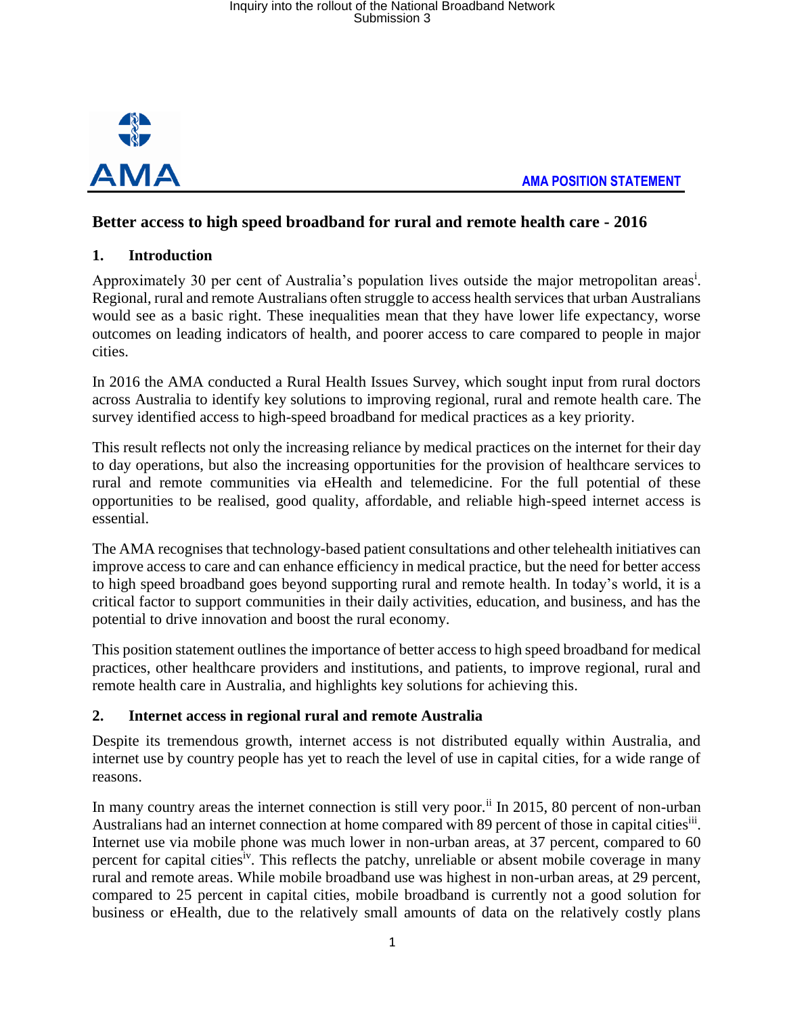

 **AMA POSITION STATEMENT**

### **Better access to high speed broadband for rural and remote health care - 2016**

### **1. Introduction**

Approximately 30 per cent of Australia's population lives outside the major metropolitan areas<sup>i</sup>. Regional, rural and remote Australians often struggle to access health services that urban Australians would see as a basic right. These inequalities mean that they have lower life expectancy, worse outcomes on leading indicators of health, and poorer access to care compared to people in major cities.

In 2016 the AMA conducted a Rural Health Issues Survey, which sought input from rural doctors across Australia to identify key solutions to improving regional, rural and remote health care. The survey identified access to high-speed broadband for medical practices as a key priority.

This result reflects not only the increasing reliance by medical practices on the internet for their day to day operations, but also the increasing opportunities for the provision of healthcare services to rural and remote communities via eHealth and telemedicine. For the full potential of these opportunities to be realised, good quality, affordable, and reliable high-speed internet access is essential.

The AMA recognises that technology-based patient consultations and other telehealth initiatives can improve access to care and can enhance efficiency in medical practice, but the need for better access to high speed broadband goes beyond supporting rural and remote health. In today's world, it is a critical factor to support communities in their daily activities, education, and business, and has the potential to drive innovation and boost the rural economy.

This position statement outlines the importance of better access to high speed broadband for medical practices, other healthcare providers and institutions, and patients, to improve regional, rural and remote health care in Australia, and highlights key solutions for achieving this.

### **2. Internet access in regional rural and remote Australia**

Despite its tremendous growth, internet access is not distributed equally within Australia, and internet use by country people has yet to reach the level of use in capital cities, for a wide range of reasons.

In many country areas the internet connection is still very poor.<sup>ii</sup> In 2015, 80 percent of non-urban Australians had an internet connection at home compared with 89 percent of those in capital cities<sup>iii</sup>. Internet use via mobile phone was much lower in non-urban areas, at 37 percent, compared to 60 percent for capital cities<sup>iv</sup>. This reflects the patchy, unreliable or absent mobile coverage in many rural and remote areas. While mobile broadband use was highest in non-urban areas, at 29 percent, compared to 25 percent in capital cities, mobile broadband is currently not a good solution for business or eHealth, due to the relatively small amounts of data on the relatively costly plans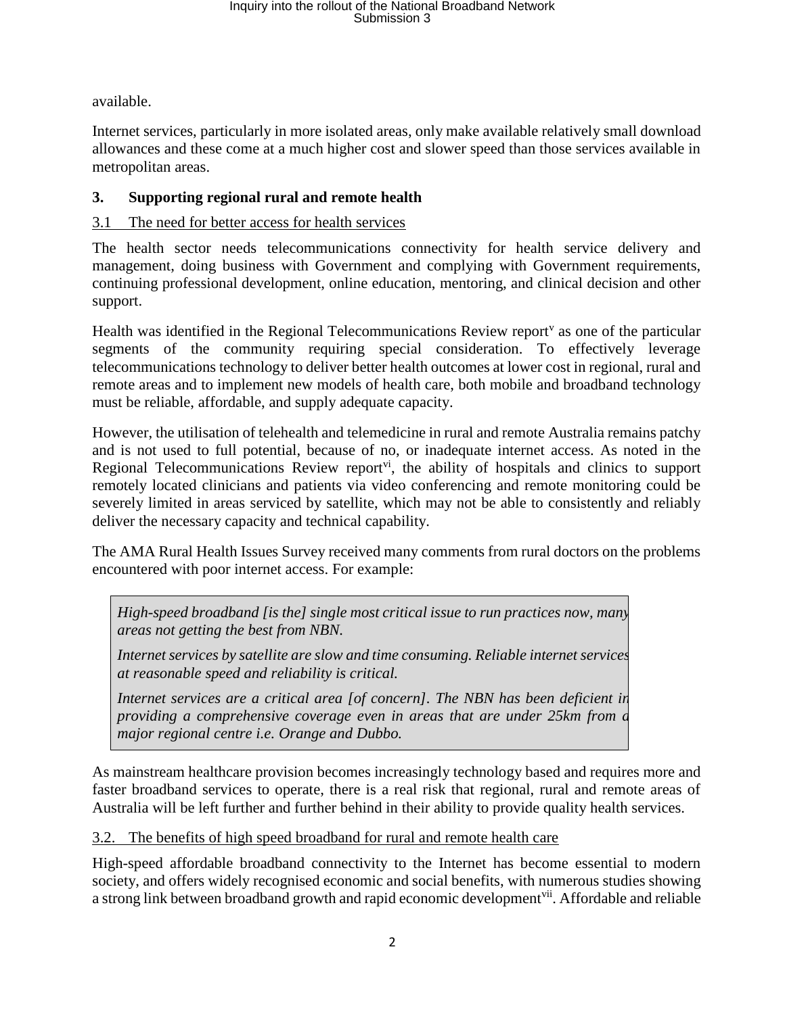available.

Internet services, particularly in more isolated areas, only make available relatively small download allowances and these come at a much higher cost and slower speed than those services available in metropolitan areas.

### **3. Supporting regional rural and remote health**

### 3.1 The need for better access for health services

The health sector needs telecommunications connectivity for health service delivery and management, doing business with Government and complying with Government requirements, continuing professional development, online education, mentoring, and clinical decision and other support.

Health was identified in the Regional Telecommunications Review report<sup>v</sup> as one of the particular segments of the community requiring special consideration. To effectively leverage telecommunications technology to deliver better health outcomes at lower cost in regional, rural and remote areas and to implement new models of health care, both mobile and broadband technology must be reliable, affordable, and supply adequate capacity.

However, the utilisation of telehealth and telemedicine in rural and remote Australia remains patchy and is not used to full potential, because of no, or inadequate internet access. As noted in the Regional Telecommunications Review report<sup> $vi$ </sup>, the ability of hospitals and clinics to support remotely located clinicians and patients via video conferencing and remote monitoring could be severely limited in areas serviced by satellite, which may not be able to consistently and reliably deliver the necessary capacity and technical capability.

The AMA Rural Health Issues Survey received many comments from rural doctors on the problems encountered with poor internet access. For example:

*High-speed broadband [is the] single most critical issue to run practices now, many areas not getting the best from NBN.*

*Internet services by satellite are slow and time consuming. Reliable internet services at reasonable speed and reliability is critical.*

*Internet services are a critical area [of concern]. The NBN has been deficient in providing a comprehensive coverage even in areas that are under 25km from a major regional centre i.e. Orange and Dubbo.*

As mainstream healthcare provision becomes increasingly technology based and requires more and faster broadband services to operate, there is a real risk that regional, rural and remote areas of Australia will be left further and further behind in their ability to provide quality health services.

3.2. The benefits of high speed broadband for rural and remote health care

High-speed affordable broadband connectivity to the Internet has become essential to modern society, and offers widely recognised economic and social benefits, with numerous studies showing a strong link between broadband growth and rapid economic development<sup>vii</sup>. Affordable and reliable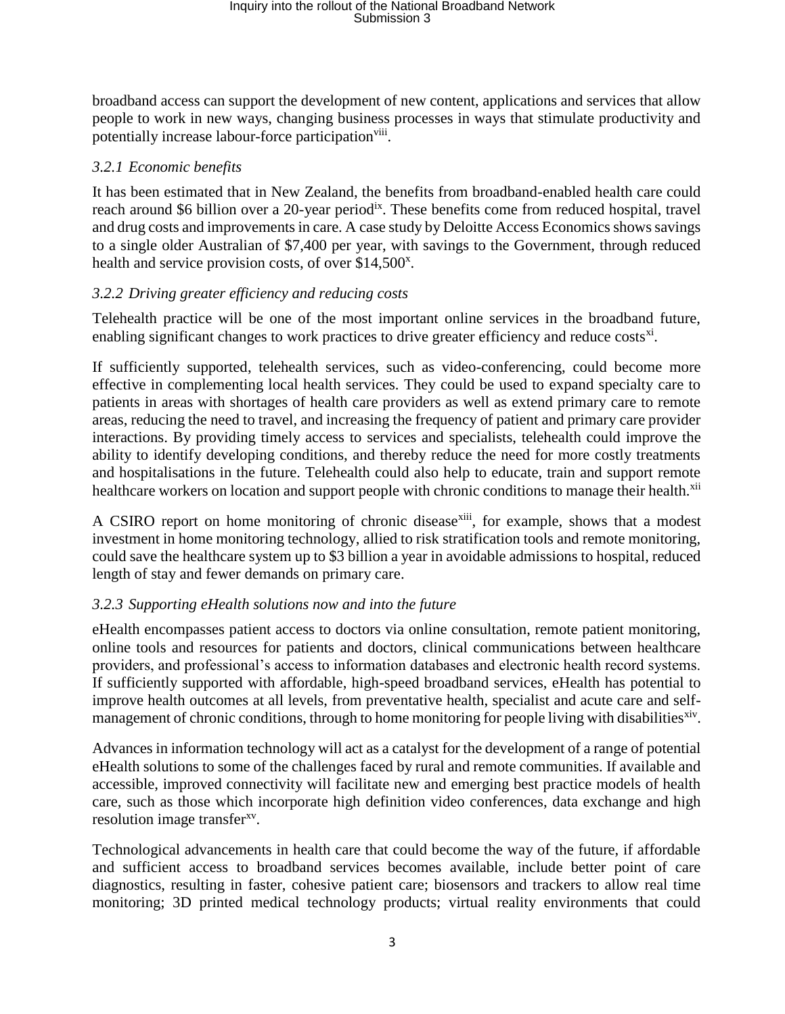broadband access can support the development of new content, applications and services that allow people to work in new ways, changing business processes in ways that stimulate productivity and potentially increase labour-force participation<sup>viii</sup>.

### *3.2.1 Economic benefits*

It has been estimated that in New Zealand, the benefits from broadband-enabled health care could reach around \$6 billion over a 20-year period<sup>ix</sup>. These benefits come from reduced hospital, travel and drug costs and improvements in care. A case study by Deloitte Access Economics shows savings to a single older Australian of \$7,400 per year, with savings to the Government, through reduced health and service provision costs, of over \$14,500<sup>x</sup>.

### *3.2.2 Driving greater efficiency and reducing costs*

Telehealth practice will be one of the most important online services in the broadband future, enabling significant changes to work practices to drive greater efficiency and reduce costs<sup>xi</sup>.

If sufficiently supported, telehealth services, such as video-conferencing, could become more effective in complementing local health services. They could be used to expand specialty care to patients in areas with shortages of health care providers as well as extend primary care to remote areas, reducing the need to travel, and increasing the frequency of patient and primary care provider interactions. By providing timely access to services and specialists, telehealth could improve the ability to identify developing conditions, and thereby reduce the need for more costly treatments and hospitalisations in the future. Telehealth could also help to educate, train and support remote healthcare workers on location and support people with chronic conditions to manage their health.<sup>xii</sup>

A CSIRO [report on home monitoring of chronic disease](http://www.pulseitmagazine.com.au/news/australian-ehealth/3111-csiro-study-shows-massive-return-on-investment-for-at-home-telemonitoring?highlight=WyJicmFua28iXQ=)<sup>xiii</sup>, for example, shows that a modest investment in home monitoring technology, allied to risk stratification tools and remote monitoring, could save the healthcare system up to \$3 billion a year in avoidable admissions to hospital, reduced length of stay and fewer demands on primary care.

### *3.2.3 Supporting eHealth solutions now and into the future*

eHealth encompasses patient access to doctors via online consultation, remote patient monitoring, online tools and resources for patients and doctors, clinical communications between healthcare providers, and professional's access to information databases and electronic health record systems. If sufficiently supported with affordable, high-speed broadband services, eHealth has potential to improve health outcomes at all levels, from preventative health, specialist and acute care and selfmanagement of chronic conditions, through to home monitoring for people living with disabilities<sup>xiv</sup>.

Advances in information technology will act as a catalyst for the development of a range of potential eHealth solutions to some of the challenges faced by rural and remote communities. If available and accessible, improved connectivity will facilitate new and emerging best practice models of health care, such as those which incorporate high definition video conferences, data exchange and high resolution image transfer<sup>xv</sup>.

Technological advancements in health care that could become the way of the future, if affordable and sufficient access to broadband services becomes available, include better point of care diagnostics, resulting in faster, cohesive patient care; biosensors and trackers to allow real time monitoring; 3D printed medical technology products; virtual reality environments that could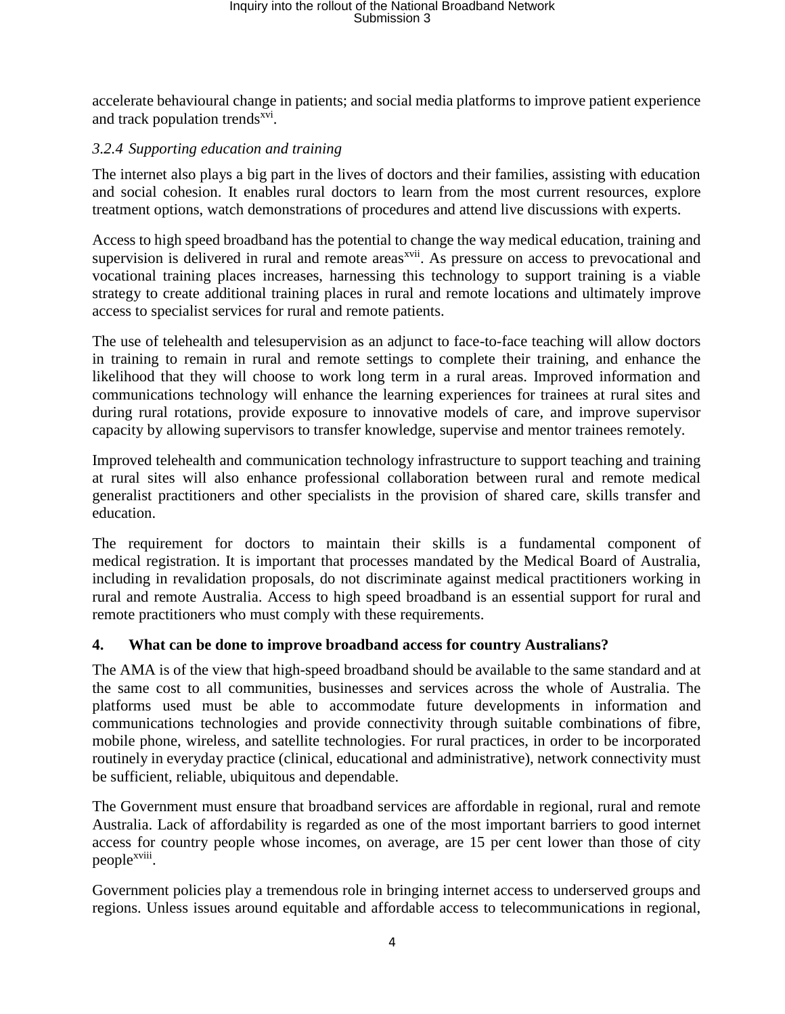accelerate behavioural change in patients; and social media platforms to improve patient experience and track population trends<sup>xvi</sup>.

### *3.2.4 Supporting education and training*

The internet also plays a big part in the lives of doctors and their families, assisting with education and social cohesion. It enables rural doctors to learn from the most current resources, explore treatment options, watch demonstrations of procedures and attend live discussions with experts.

Access to high speed broadband has the potential to change the way medical education, training and supervision is delivered in rural and remote areas<sup>xvii</sup>. As pressure on access to prevocational and vocational training places increases, harnessing this technology to support training is a viable strategy to create additional training places in rural and remote locations and ultimately improve access to specialist services for rural and remote patients.

The use of telehealth and telesupervision as an adjunct to face-to-face teaching will allow doctors in training to remain in rural and remote settings to complete their training, and enhance the likelihood that they will choose to work long term in a rural areas. Improved information and communications technology will enhance the learning experiences for trainees at rural sites and during rural rotations, provide exposure to innovative models of care, and improve supervisor capacity by allowing supervisors to transfer knowledge, supervise and mentor trainees remotely.

Improved telehealth and communication technology infrastructure to support teaching and training at rural sites will also enhance professional collaboration between rural and remote medical generalist practitioners and other specialists in the provision of shared care, skills transfer and education.

The requirement for doctors to maintain their skills is a fundamental component of medical registration. It is important that processes mandated by the Medical Board of Australia, including in revalidation proposals, do not discriminate against medical practitioners working in rural and remote Australia. Access to high speed broadband is an essential support for rural and remote practitioners who must comply with these requirements.

### **4. What can be done to improve broadband access for country Australians?**

The AMA is of the view that high-speed broadband should be available to the same standard and at the same cost to all communities, businesses and services across the whole of Australia. The platforms used must be able to accommodate future developments in information and communications technologies and provide connectivity through suitable combinations of fibre, mobile phone, wireless, and satellite technologies. For rural practices, in order to be incorporated routinely in everyday practice (clinical, educational and administrative), network connectivity must be sufficient, reliable, ubiquitous and dependable.

The Government must ensure that broadband services are affordable in regional, rural and remote Australia. Lack of affordability is regarded as one of the most important barriers to good internet access for country people whose incomes, on average, are 15 per cent lower than those of city people<sup>xviii</sup>.

Government policies play a tremendous role in bringing internet access to underserved groups and regions. Unless issues around equitable and affordable access to telecommunications in regional,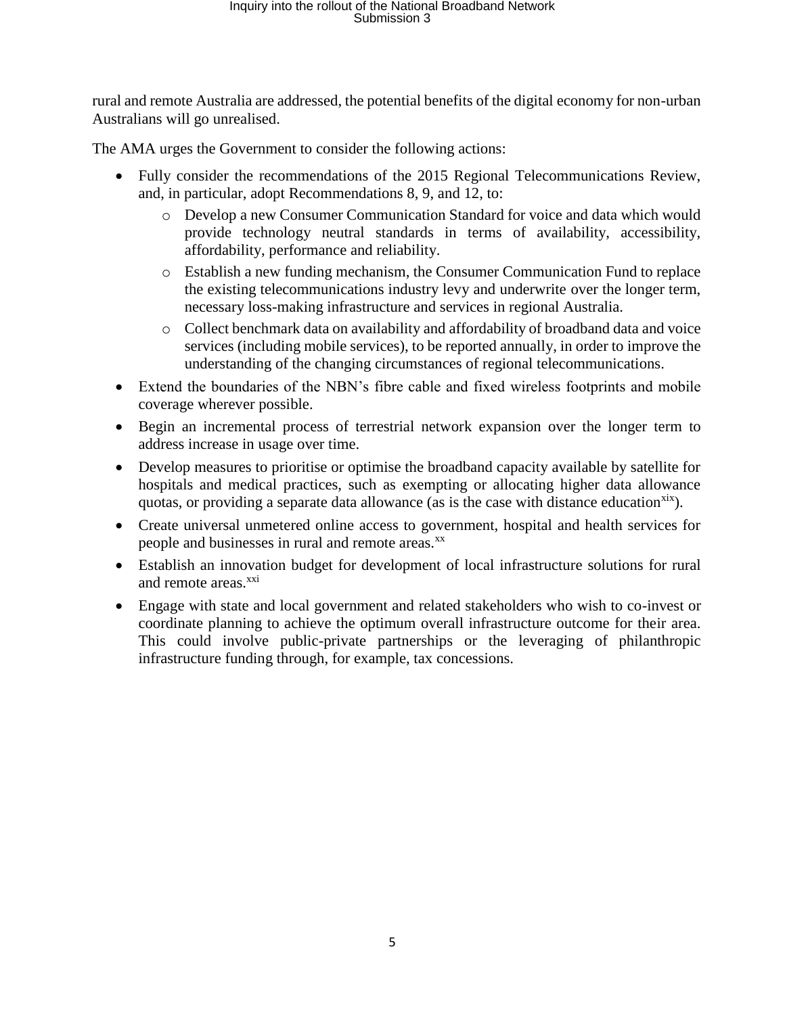rural and remote Australia are addressed, the potential benefits of the digital economy for non-urban Australians will go unrealised.

The AMA urges the Government to consider the following actions:

- Fully consider the recommendations of the 2015 Regional Telecommunications Review, and, in particular, adopt Recommendations 8, 9, and 12, to:
	- o Develop a new Consumer Communication Standard for voice and data which would provide technology neutral standards in terms of availability, accessibility, affordability, performance and reliability.
	- o Establish a new funding mechanism, the Consumer Communication Fund to replace the existing telecommunications industry levy and underwrite over the longer term, necessary loss-making infrastructure and services in regional Australia.
	- o Collect benchmark data on availability and affordability of broadband data and voice services (including mobile services), to be reported annually, in order to improve the understanding of the changing circumstances of regional telecommunications.
- Extend the boundaries of the NBN's fibre cable and fixed wireless footprints and mobile coverage wherever possible.
- Begin an incremental process of terrestrial network expansion over the longer term to address increase in usage over time.
- Develop measures to prioritise or optimise the broadband capacity available by satellite for hospitals and medical practices, such as exempting or allocating higher data allowance quotas, or providing a separate data allowance (as is the case with distance education<sup>xix</sup>).
- Create universal unmetered online access to government, hospital and health services for people and businesses in rural and remote areas.<sup>xx</sup>
- Establish an innovation budget for development of local infrastructure solutions for rural and remote areas.<sup>xxi</sup>
- Engage with state and local government and related stakeholders who wish to co-invest or coordinate planning to achieve the optimum overall infrastructure outcome for their area. This could involve public-private partnerships or the leveraging of philanthropic infrastructure funding through, for example, tax concessions.